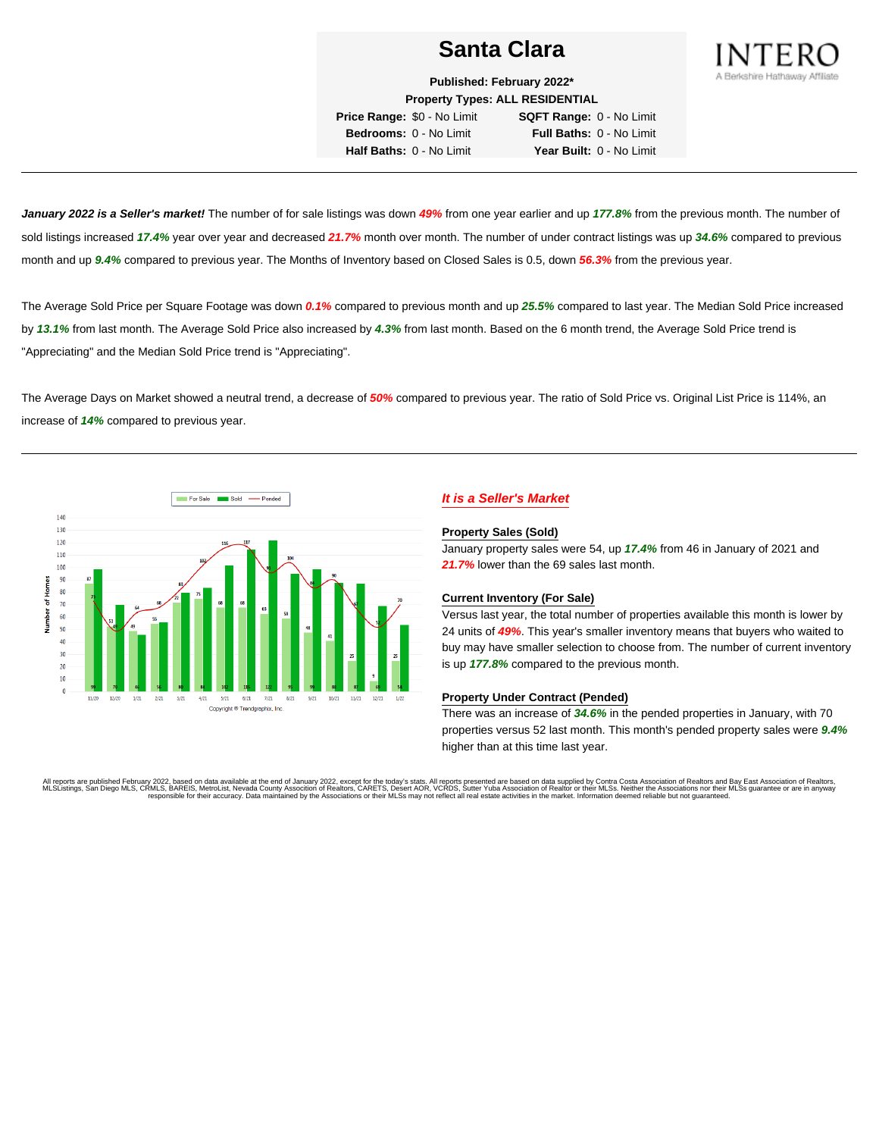## **Santa Clara**



**Published: February 2022\* Property Types: ALL RESIDENTIAL**

**Price Range:** \$0 - No Limit **SQFT Range:** 0 - No Limit **Bedrooms:** 0 - No Limit **Full Baths:** 0 - No Limit **Half Baths:** 0 - No Limit **Year Built:** 0 - No Limit

**January 2022 is a Seller's market!** The number of for sale listings was down **49%** from one year earlier and up **177.8%** from the previous month. The number of sold listings increased **17.4%** year over year and decreased **21.7%** month over month. The number of under contract listings was up **34.6%** compared to previous month and up **9.4%** compared to previous year. The Months of Inventory based on Closed Sales is 0.5, down **56.3%** from the previous year.

The Average Sold Price per Square Footage was down **0.1%** compared to previous month and up **25.5%** compared to last year. The Median Sold Price increased by **13.1%** from last month. The Average Sold Price also increased by **4.3%** from last month. Based on the 6 month trend, the Average Sold Price trend is "Appreciating" and the Median Sold Price trend is "Appreciating".

The Average Days on Market showed a neutral trend, a decrease of **50%** compared to previous year. The ratio of Sold Price vs. Original List Price is 114%, an increase of **14%** compared to previous year.



## **It is a Seller's Market**

#### **Property Sales (Sold)**

January property sales were 54, up **17.4%** from 46 in January of 2021 and **21.7%** lower than the 69 sales last month.

#### **Current Inventory (For Sale)**

Versus last year, the total number of properties available this month is lower by 24 units of **49%**. This year's smaller inventory means that buyers who waited to buy may have smaller selection to choose from. The number of current inventory is up **177.8%** compared to the previous month.

#### **Property Under Contract (Pended)**

There was an increase of **34.6%** in the pended properties in January, with 70 properties versus 52 last month. This month's pended property sales were **9.4%** higher than at this time last year.

All reports are published February 2022, based on data available at the end of January 2022, except for the today's stats. All reports presented are based on data supplied by Contra Costa Association of Realtors and Bay Ea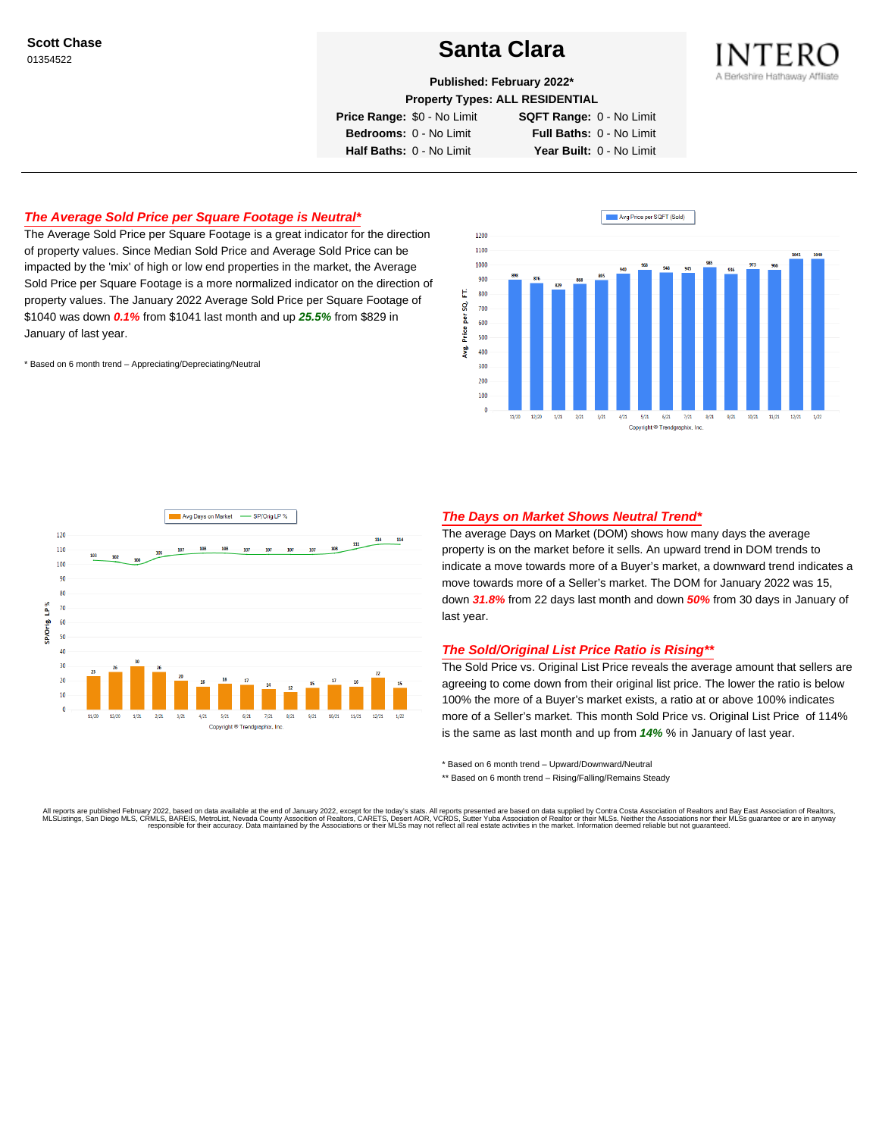**Scott Chase**

# Scott Chase<br>01354522<br>**Santa Clara**



**Published: February 2022\***

**Property Types: ALL RESIDENTIAL**

**Price Range:** \$0 - No Limit **SQFT Range:** 0 - No Limit

**Bedrooms:** 0 - No Limit **Full Baths:** 0 - No Limit **Half Baths:** 0 - No Limit **Year Built:** 0 - No Limit

## **The Average Sold Price per Square Footage is Neutral\***

The Average Sold Price per Square Footage is a great indicator for the direction of property values. Since Median Sold Price and Average Sold Price can be impacted by the 'mix' of high or low end properties in the market, the Average Sold Price per Square Footage is a more normalized indicator on the direction of property values. The January 2022 Average Sold Price per Square Footage of \$1040 was down **0.1%** from \$1041 last month and up **25.5%** from \$829 in January of last year.

\* Based on 6 month trend – Appreciating/Depreciating/Neutral





### **The Days on Market Shows Neutral Trend\***

The average Days on Market (DOM) shows how many days the average property is on the market before it sells. An upward trend in DOM trends to indicate a move towards more of a Buyer's market, a downward trend indicates a move towards more of a Seller's market. The DOM for January 2022 was 15, down **31.8%** from 22 days last month and down **50%** from 30 days in January of last year.

#### **The Sold/Original List Price Ratio is Rising\*\***

The Sold Price vs. Original List Price reveals the average amount that sellers are agreeing to come down from their original list price. The lower the ratio is below 100% the more of a Buyer's market exists, a ratio at or above 100% indicates more of a Seller's market. This month Sold Price vs. Original List Price of 114% is the same as last month and up from **14%** % in January of last year.

\* Based on 6 month trend – Upward/Downward/Neutral

\*\* Based on 6 month trend - Rising/Falling/Remains Steady

All reports are published February 2022, based on data available at the end of January 2022, except for the today's stats. All reports presented are based on data supplied by Contra Costa Association of Realtors and Bay Ea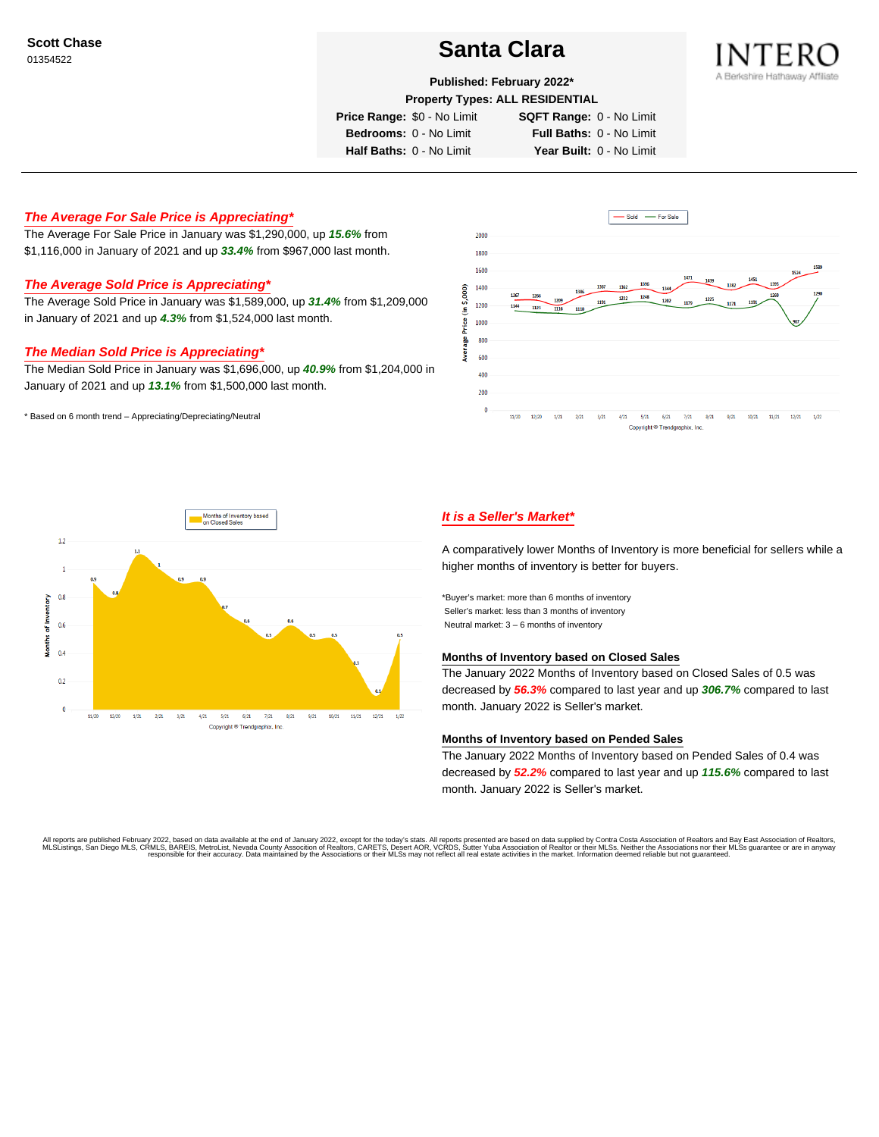## Scott Chase<br>01354522



**Published: February 2022\***

**Property Types: ALL RESIDENTIAL**

**Price Range:** \$0 - No Limit **SQFT Range:** 0 - No Limit

**Bedrooms:** 0 - No Limit **Full Baths:** 0 - No Limit **Half Baths:** 0 - No Limit **Year Built:** 0 - No Limit

### **The Average For Sale Price is Appreciating\***

The Average For Sale Price in January was \$1,290,000, up **15.6%** from \$1,116,000 in January of 2021 and up **33.4%** from \$967,000 last month.

### **The Average Sold Price is Appreciating\***

The Average Sold Price in January was \$1,589,000, up **31.4%** from \$1,209,000 in January of 2021 and up **4.3%** from \$1,524,000 last month.

#### **The Median Sold Price is Appreciating\***

The Median Sold Price in January was \$1,696,000, up **40.9%** from \$1,204,000 in January of 2021 and up **13.1%** from \$1,500,000 last month.

\* Based on 6 month trend – Appreciating/Depreciating/Neutral





## **It is a Seller's Market\***

A comparatively lower Months of Inventory is more beneficial for sellers while a higher months of inventory is better for buyers.

\*Buyer's market: more than 6 months of inventory Seller's market: less than 3 months of inventory Neutral market: 3 – 6 months of inventory

#### **Months of Inventory based on Closed Sales**

The January 2022 Months of Inventory based on Closed Sales of 0.5 was decreased by **56.3%** compared to last year and up **306.7%** compared to last month. January 2022 is Seller's market.

#### **Months of Inventory based on Pended Sales**

The January 2022 Months of Inventory based on Pended Sales of 0.4 was decreased by **52.2%** compared to last year and up **115.6%** compared to last month. January 2022 is Seller's market.

All reports are published February 2022, based on data available at the end of January 2022, except for the today's stats. All reports presented are based on data supplied by Contra Costa Association of Realtors, and be as responsible for their accuracy. Data maintained by the Associations or their MLSs may not reflect all real estate activities in the market. Information deemed reliable but not quaranteed